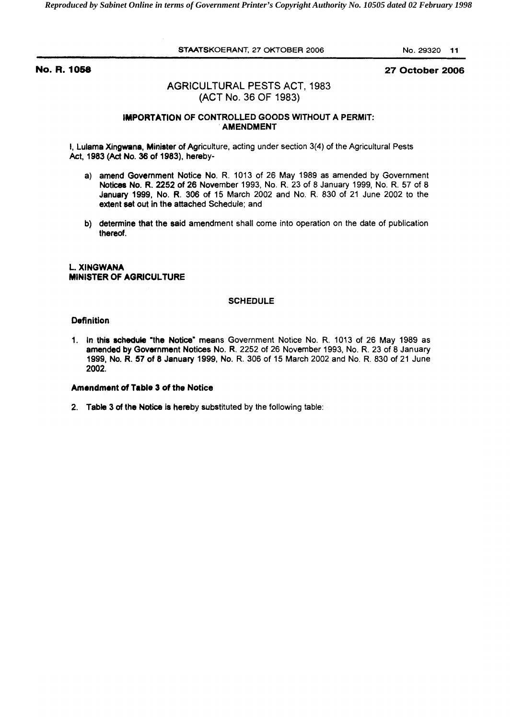*Reproduced by Sabinet Online in terms of Government Printer's Copyright Authority No. 10505 dated 02 February 1998* 

STAATSKOERANT, 27 OKTOBER 2006 No. 29320 **11** 

# **No. R. 1058 27 October 2006**

# AGRICULTURAL PESTS ACT, 1983 (ACT No. 36 OF 1983)

## IMPORTATION OF CONTROLLED GOODS WITHOUT A PERMIT: AMENDMENT

I, Lulama Xingwana, Minister of Agriculture, acting under section 3(4) of the Agricultural Pests Act, **1983** (Act No. **36** of **1983),** hereby-

- a) amend Government Notice No. R. 1013 of 26 May 1989 as amended by Government Notices No. R. 2252 of **26** November 1993, No. R. 23 of 8 January 1999, No. R. 57 of 8 January **1999,** No. R. **306** of 15 March 2002 and No. R. 830 of 21 June 2002 to the extent set out in the attached Schedule; and
- b) determine that the said amendment shall come into operation on the date of publication thereof.

## L. XINGWANA MINISTER OF AORICULTURE

#### **SCHEDULE**

## Definition

**1.** In this schedule 'the Notice" means Government Notice No. R. 1013 of 26 May 1989 as amended by Government Notices No. R. 2252 of 26 November 1993, No. R. 23 of **8** January **1999,** No. R. **57** of **8** January 1999, No. R. 306 of 15 March 2002 and No. **R.** 830 of 21 June 2002.

#### Amendment **of** Table 3 of the Notice

2. Table 3 of the Notice is hereby substituted by the following table: